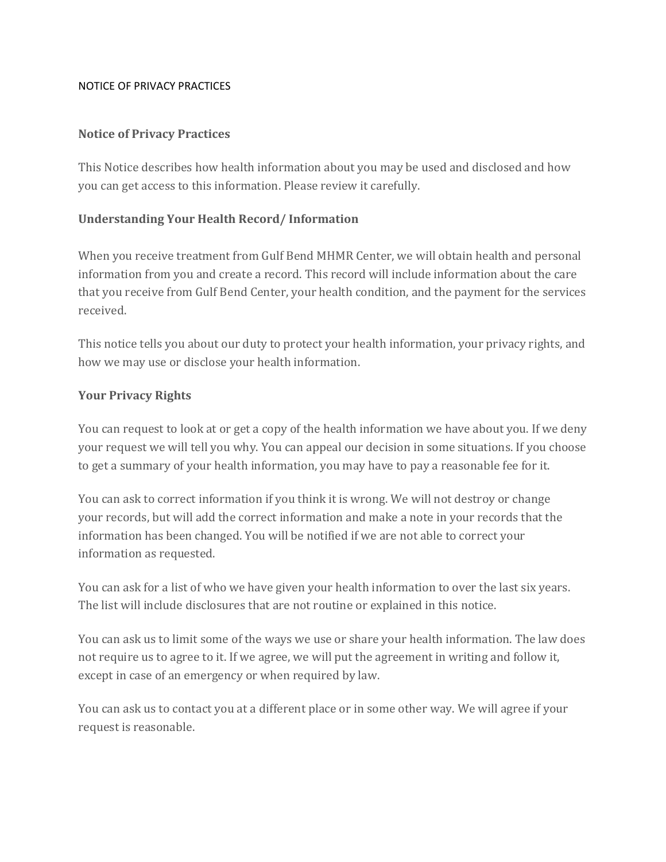#### NOTICE OF PRIVACY PRACTICES

## **Notice of Privacy Practices**

This Notice describes how health information about you may be used and disclosed and how you can get access to this information. Please review it carefully.

## **Understanding Your Health Record/ Information**

When you receive treatment from Gulf Bend MHMR Center, we will obtain health and personal information from you and create a record. This record will include information about the care that you receive from Gulf Bend Center, your health condition, and the payment for the services received.

This notice tells you about our duty to protect your health information, your privacy rights, and how we may use or disclose your health information.

## **Your Privacy Rights**

You can request to look at or get a copy of the health information we have about you. If we deny your request we will tell you why. You can appeal our decision in some situations. If you choose to get a summary of your health information, you may have to pay a reasonable fee for it.

You can ask to correct information if you think it is wrong. We will not destroy or change your records, but will add the correct information and make a note in your records that the information has been changed. You will be notified if we are not able to correct your information as requested.

You can ask for a list of who we have given your health information to over the last six years. The list will include disclosures that are not routine or explained in this notice.

You can ask us to limit some of the ways we use or share your health information. The law does not require us to agree to it. If we agree, we will put the agreement in writing and follow it, except in case of an emergency or when required by law.

You can ask us to contact you at a different place or in some other way. We will agree if your request is reasonable.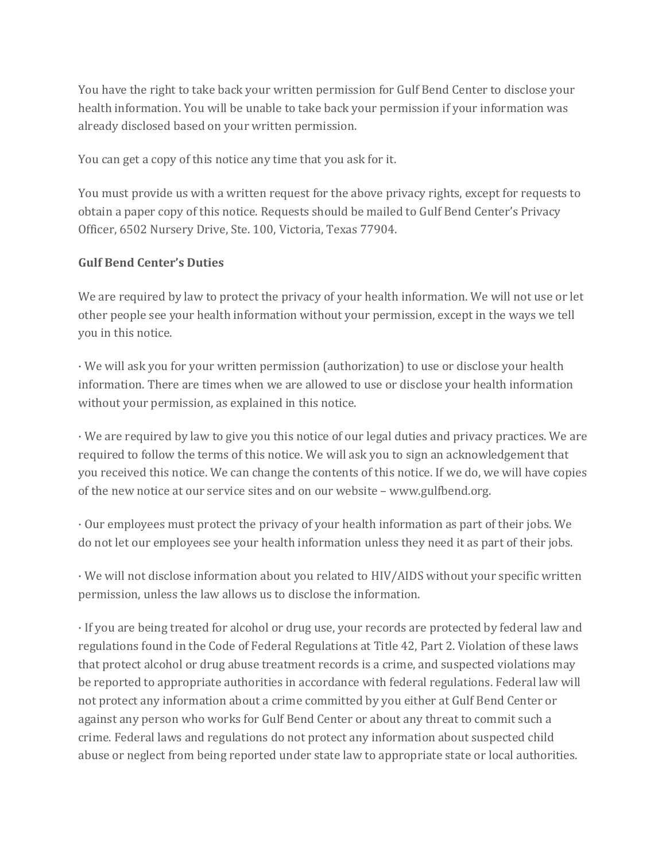You have the right to take back your written permission for Gulf Bend Center to disclose your health information. You will be unable to take back your permission if your information was already disclosed based on your written permission.

You can get a copy of this notice any time that you ask for it.

You must provide us with a written request for the above privacy rights, except for requests to obtain a paper copy of this notice. Requests should be mailed to Gulf Bend Center's Privacy Officer, 6502 Nursery Drive, Ste. 100, Victoria, Texas 77904.

## **Gulf Bend Center's Duties**

We are required by law to protect the privacy of your health information. We will not use or let other people see your health information without your permission, except in the ways we tell you in this notice.

· We will ask you for your written permission (authorization) to use or disclose your health information. There are times when we are allowed to use or disclose your health information without your permission, as explained in this notice.

· We are required by law to give you this notice of our legal duties and privacy practices. We are required to follow the terms of this notice. We will ask you to sign an acknowledgement that you received this notice. We can change the contents of this notice. If we do, we will have copies of the new notice at our service sites and on our website – www.gulfbend.org.

· Our employees must protect the privacy of your health information as part of their jobs. We do not let our employees see your health information unless they need it as part of their jobs.

· We will not disclose information about you related to HIV/AIDS without your specific written permission, unless the law allows us to disclose the information.

· If you are being treated for alcohol or drug use, your records are protected by federal law and regulations found in the Code of Federal Regulations at Title 42, Part 2. Violation of these laws that protect alcohol or drug abuse treatment records is a crime, and suspected violations may be reported to appropriate authorities in accordance with federal regulations. Federal law will not protect any information about a crime committed by you either at Gulf Bend Center or against any person who works for Gulf Bend Center or about any threat to commit such a crime. Federal laws and regulations do not protect any information about suspected child abuse or neglect from being reported under state law to appropriate state or local authorities.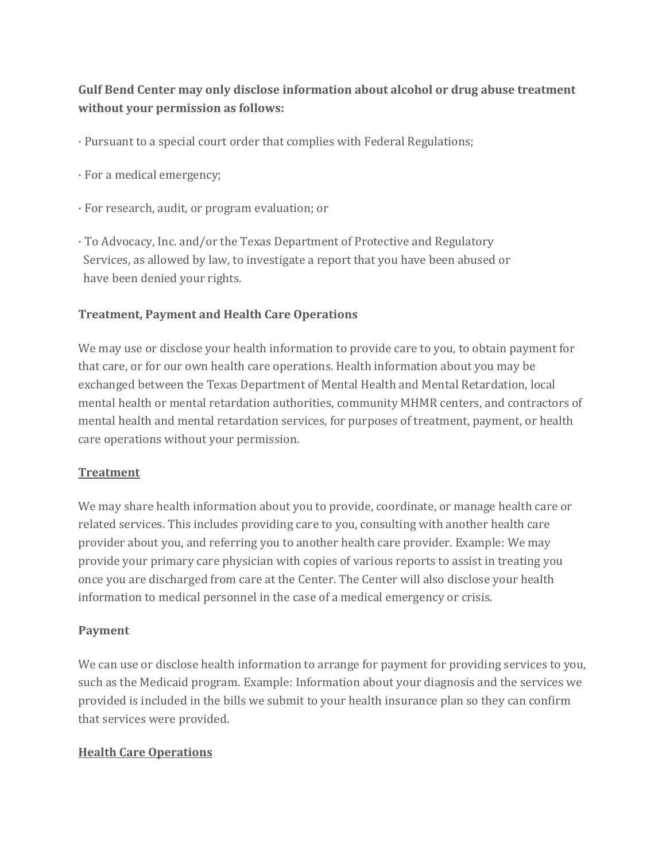# **Gulf Bend Center may only disclose information about alcohol or drug abuse treatment without your permission as follows:**

- · Pursuant to a special court order that complies with Federal Regulations;
- · For a medical emergency;
- · For research, audit, or program evaluation; or
- · To Advocacy, Inc. and/or the Texas Department of Protective and Regulatory Services, as allowed by law, to investigate a report that you have been abused or have been denied your rights.

## **Treatment, Payment and Health Care Operations**

We may use or disclose your health information to provide care to you, to obtain payment for that care, or for our own health care operations. Health information about you may be exchanged between the Texas Department of Mental Health and Mental Retardation, local mental health or mental retardation authorities, community MHMR centers, and contractors of mental health and mental retardation services, for purposes of treatment, payment, or health care operations without your permission.

### **Treatment**

We may share health information about you to provide, coordinate, or manage health care or related services. This includes providing care to you, consulting with another health care provider about you, and referring you to another health care provider. Example: We may provide your primary care physician with copies of various reports to assist in treating you once you are discharged from care at the Center. The Center will also disclose your health information to medical personnel in the case of a medical emergency or crisis.

### **Payment**

We can use or disclose health information to arrange for payment for providing services to you, such as the Medicaid program. Example: Information about your diagnosis and the services we provided is included in the bills we submit to your health insurance plan so they can confirm that services were provided.

### **Health Care Operations**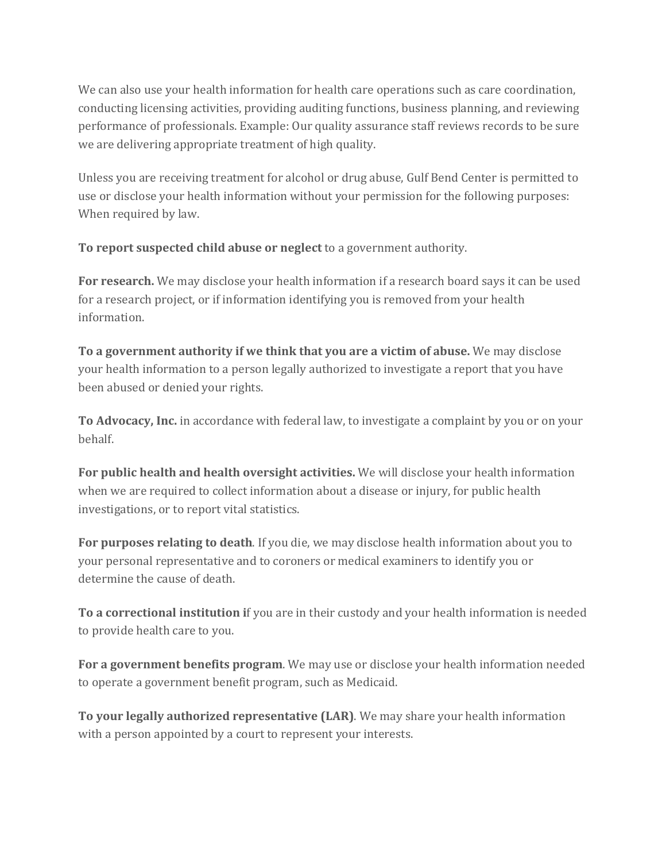We can also use your health information for health care operations such as care coordination, conducting licensing activities, providing auditing functions, business planning, and reviewing performance of professionals. Example: Our quality assurance staff reviews records to be sure we are delivering appropriate treatment of high quality.

Unless you are receiving treatment for alcohol or drug abuse, Gulf Bend Center is permitted to use or disclose your health information without your permission for the following purposes: When required by law.

**To report suspected child abuse or neglect** to a government authority.

**For research.** We may disclose your health information if a research board says it can be used for a research project, or if information identifying you is removed from your health information.

**To a government authority if we think that you are a victim of abuse.** We may disclose your health information to a person legally authorized to investigate a report that you have been abused or denied your rights.

**To Advocacy, Inc.** in accordance with federal law, to investigate a complaint by you or on your behalf.

**For public health and health oversight activities.** We will disclose your health information when we are required to collect information about a disease or injury, for public health investigations, or to report vital statistics.

**For purposes relating to death**. If you die, we may disclose health information about you to your personal representative and to coroners or medical examiners to identify you or determine the cause of death.

**To a correctional institution i**f you are in their custody and your health information is needed to provide health care to you.

**For a government benefits program**. We may use or disclose your health information needed to operate a government benefit program, such as Medicaid.

**To your legally authorized representative (LAR)**. We may share your health information with a person appointed by a court to represent your interests.